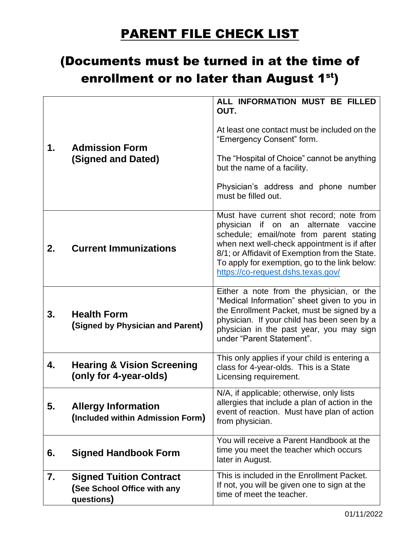## PARENT FILE CHECK LIST

## (Documents must be turned in at the time of enrollment or no later than August 1<sup>st</sup>)

| 1. | <b>Admission Form</b><br>(Signed and Dated)                                 | ALL INFORMATION MUST BE FILLED<br>OUT.<br>At least one contact must be included on the<br>"Emergency Consent" form.<br>The "Hospital of Choice" cannot be anything<br>but the name of a facility.<br>Physician's address and phone number<br>must be filled out.                                                      |
|----|-----------------------------------------------------------------------------|-----------------------------------------------------------------------------------------------------------------------------------------------------------------------------------------------------------------------------------------------------------------------------------------------------------------------|
| 2. | <b>Current Immunizations</b>                                                | Must have current shot record; note from<br>physician if on an alternate vaccine<br>schedule; email/note from parent stating<br>when next well-check appointment is if after<br>8/1; or Affidavit of Exemption from the State.<br>To apply for exemption, go to the link below:<br>https://co-request.dshs.texas.gov/ |
| 3. | <b>Health Form</b><br>(Signed by Physician and Parent)                      | Either a note from the physician, or the<br>"Medical Information" sheet given to you in<br>the Enrollment Packet, must be signed by a<br>physician. If your child has been seen by a<br>physician in the past year, you may sign<br>under "Parent Statement".                                                         |
| 4. | <b>Hearing &amp; Vision Screening</b><br>(only for 4-year-olds)             | This only applies if your child is entering a<br>class for 4-year-olds. This is a State<br>Licensing requirement.                                                                                                                                                                                                     |
| 5. | <b>Allergy Information</b><br>(Included within Admission Form)              | N/A, if applicable; otherwise, only lists<br>allergies that include a plan of action in the<br>event of reaction. Must have plan of action<br>from physician.                                                                                                                                                         |
| 6. | <b>Signed Handbook Form</b>                                                 | You will receive a Parent Handbook at the<br>time you meet the teacher which occurs<br>later in August.                                                                                                                                                                                                               |
| 7. | <b>Signed Tuition Contract</b><br>(See School Office with any<br>questions) | This is included in the Enrollment Packet.<br>If not, you will be given one to sign at the<br>time of meet the teacher.                                                                                                                                                                                               |